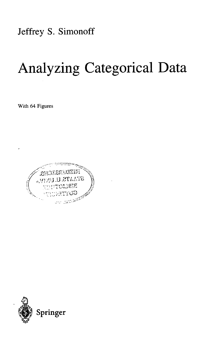Jeffrey S. Simonoff

## Analyzing Categorical Data

With 64 Figures



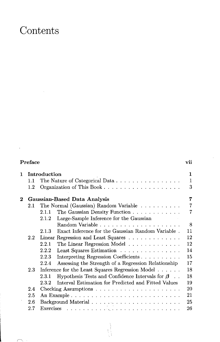## Contents

 $\cdot$ 

 $\curvearrowleft$ . <sup>1</sup>

| Preface  |                                                       |                                                                  | vii               |
|----------|-------------------------------------------------------|------------------------------------------------------------------|-------------------|
| 1.       | Introduction<br>The Nature of Categorical Data<br>1.1 |                                                                  | 1<br>$\mathbf{1}$ |
|          | $1.2\,$                                               |                                                                  | 3                 |
| $\bf{2}$ |                                                       | Gaussian-Based Data Analysis                                     | 7                 |
|          | $2.1\,$                                               | The Normal (Gaussian) Random Variable                            | $\overline{7}$    |
|          |                                                       | The Gaussian Density Function<br>2.1.1                           | $\overline{7}$    |
|          |                                                       | Large-Sample Inference for the Gaussian<br>2.1.2                 |                   |
|          |                                                       |                                                                  | 8                 |
|          |                                                       | Exact Inference for the Gaussian Random Variable.<br>2.1.3       | 11                |
|          | $2.2^{\circ}$                                         | Linear Regression and Least Squares                              | 12                |
|          |                                                       | The Linear Regression Model<br>2.2.1                             | $12\,$            |
|          |                                                       | Least Squares Estimation<br>2.2.2                                | 14                |
|          |                                                       | 2.2.3<br>Interpreting Regression Coefficients                    | 15                |
|          |                                                       | Assessing the Strength of a Regression Relationship<br>2.2.4     | 17                |
|          | 2.3                                                   | Inference for the Least Squares Regression Model                 | 18                |
|          |                                                       | Hypothesis Tests and Confidence Intervals for $\beta$ .<br>2.3.1 | 18                |
|          |                                                       | Interval Estimation for Predicted and Fitted Values<br>2.3.2     | 19                |
|          | 2.4                                                   |                                                                  | 20                |
|          | 2.5                                                   |                                                                  | 21                |
|          | $2.6\,$                                               |                                                                  | 25                |
|          | 2.7                                                   |                                                                  | 26                |
|          |                                                       |                                                                  |                   |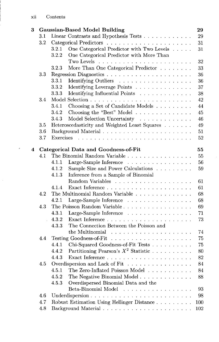| 3 |     |           | <b>Gaussian-Based Model Building</b>                                        | 29      |
|---|-----|-----------|-----------------------------------------------------------------------------|---------|
|   | 3.1 |           | Linear Contrasts and Hypothesis Tests                                       | 29      |
|   | 3.2 |           |                                                                             | 31      |
|   |     | 3.2.1     | One Categorical Predictor with Two Levels                                   | 31      |
|   |     | 3.2.2     | One Categorical Predictor with More Than                                    |         |
|   |     |           |                                                                             | 32      |
|   |     | 3.2.3     | More Than One Categorical Predictor $\;\ldots\; \ldots\; \ldots\;$          | 33      |
|   | 3.3 |           |                                                                             | 36      |
|   |     | 3.3.1     | Identifying Outliers                                                        | 36      |
|   |     | 3.3.2     | Identifying Leverage Points                                                 | 37      |
|   |     | 3.3.3     | Identifying Influential Points                                              | 38      |
|   | 3.4 |           |                                                                             | 42      |
|   |     | 3.4.1     | Choosing a Set of Candidate Models                                          | 44      |
|   |     | 3.4.2     | Choosing the "Best" Model                                                   | 45      |
|   |     | 3.4.3     | Model Selection Uncertainty                                                 | 46      |
|   | 3.5 |           | Heteroscedasticity and Weighted Least Squares                               | 49      |
|   | 3.6 |           |                                                                             | 51      |
|   | 3.7 | Exercises |                                                                             | 52      |
|   |     |           |                                                                             |         |
| 4 |     |           | Categorical Data and Goodness-of-Fit                                        | 55      |
|   | 4.1 |           | The Binomial Random Variable                                                | 55      |
|   |     | 4.1.1     | Large-Sample Inference                                                      | 56      |
|   |     | 4.1.2     | Sample Size and Power Calculations                                          | 59      |
|   |     | 4.1.3     | Inference from a Sample of Binomial                                         |         |
|   |     |           | Random Variables<br>.                                                       | 61      |
|   |     | 4.1.4     |                                                                             | 61      |
|   | 4.2 |           | The Multinomial Random Variable $\ldots \ldots \ldots \ldots \ldots \ldots$ | 68      |
|   |     | 4.2.1     | Large-Sample Inference                                                      | 68      |
|   | 4.3 |           |                                                                             | 69      |
|   |     | 4.3.1     | Large-Sample Inference                                                      | 71      |
|   |     | 4.3.2     |                                                                             | 73      |
|   |     | 4.3.3     | The Connection Between the Poisson and                                      |         |
|   |     |           | the Multinomial $\ldots \ldots \ldots \ldots \ldots \ldots$                 | 74      |
|   | 4.4 |           |                                                                             | 75      |
|   |     | 4.4.1     | Chi-Squared Goodness-of-Fit Tests                                           | 75      |
|   |     | 4.4.2     | Partitioning Pearson's $X^2$ Statistic                                      | 80      |
|   |     | 4.4.3     |                                                                             | 82      |
|   | 4.5 |           | Overdispersion and Lack of Fit                                              | 84      |
|   |     | 4.5.1     | The Zero-Inflated Poisson Model                                             | 84      |
|   |     | 4.5.2     | The Negative Binomial Model                                                 | 88      |
|   |     | 4.5.3     | Overdispersed Binomial Data and the                                         |         |
|   |     |           | Beta-Binomial Model<br>.                                                    | 93      |
|   | 4.6 |           | Underdispersion                                                             | 98      |
|   | 4.7 |           | Robust Estimation Using Hellinger Distance                                  | 100     |
|   | 4.8 |           |                                                                             | $102\,$ |
|   |     |           |                                                                             |         |

 $\ddot{\phantom{0}}$ 

 $\hat{\mathcal{A}}$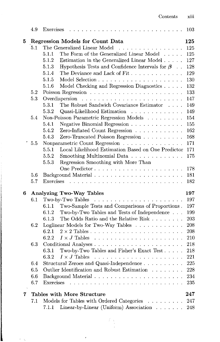|   | 4.9     |                                                                                 | 103 |  |  |
|---|---------|---------------------------------------------------------------------------------|-----|--|--|
| 5 |         | <b>Regression Models for Count Data</b><br>125                                  |     |  |  |
|   | 5.1     | The Generalized Linear Model                                                    | 125 |  |  |
|   |         | The Form of the Generalized Linear Model<br>5.1.1                               | 125 |  |  |
|   |         | Estimation in the Generalized Linear Model $\ldots$ .<br>5.1.2                  | 127 |  |  |
|   |         | Hypothesis Tests and Confidence Intervals for $\beta$<br>5.1.3                  | 128 |  |  |
|   |         | The Deviance and Lack of Fit<br>5.1.4                                           | 129 |  |  |
|   |         | $5.1.5\,$                                                                       | 130 |  |  |
|   |         | Model Checking and Regression Diagnostics<br>5.1.6                              | 132 |  |  |
|   | 5.2     |                                                                                 | 133 |  |  |
|   | 5.3     |                                                                                 | 147 |  |  |
|   |         | The Robust Sandwich Covariance Estimator<br>5.3.1                               | 149 |  |  |
|   |         | Quasi-Likelihood Estimation<br>5.3.2                                            | 149 |  |  |
|   | 5.4     | Non-Poisson Parametric Regression Models                                        | 154 |  |  |
|   |         | Negative Binomial Regression<br>5.4.1                                           | 155 |  |  |
|   |         | Zero-Inflated Count Regression<br>5.4.2                                         | 162 |  |  |
|   |         | Zero-Truncated Poisson Regression<br>5.4.3                                      | 168 |  |  |
|   | 5.5     | Nonparametric Count Regression                                                  | 171 |  |  |
|   |         | Local Likelihood Estimation Based on One Predictor<br>5.5.1                     | 171 |  |  |
|   |         | Smoothing Multinomial Data<br>5.5.2                                             | 175 |  |  |
|   |         | 5.5.3<br>Regression Smoothing with More Than                                    |     |  |  |
|   |         |                                                                                 | 178 |  |  |
|   | 5.6     |                                                                                 | 181 |  |  |
|   | 5.7     |                                                                                 | 182 |  |  |
|   |         |                                                                                 |     |  |  |
| 6 |         | <b>Analyzing Two-Way Tables</b>                                                 | 197 |  |  |
|   | 6.1     | Two-by-Two Tables<br>and a construction of the construction of the construction | 197 |  |  |
|   |         | Two-Sample Tests and Comparisons of Proportions.<br>6.1.1                       | 197 |  |  |
|   |         | Two-by-Two Tables and Tests of Independence<br>6.1.2                            | 199 |  |  |
|   |         | The Odds Ratio and the Relative Risk<br>6.1.3                                   | 203 |  |  |
|   | 6.2     | Loglinear Models for Two-Way Tables                                             | 208 |  |  |
|   |         | 6.2.1                                                                           | 208 |  |  |
|   |         | 6.2.2                                                                           | 210 |  |  |
|   | 6.3     |                                                                                 | 218 |  |  |
|   |         | Two-by-Two Tables and Fisher's Exact Test<br>6.3.1                              | 218 |  |  |
|   |         | 6.3.2                                                                           | 221 |  |  |
|   | 6.4     |                                                                                 | 225 |  |  |
|   | $6.5\,$ | Outlier Identification and Robust Estimation                                    | 228 |  |  |
|   | 6.6     |                                                                                 | 234 |  |  |
|   | 6.7     | <b>Exercises</b><br>$\mathcal{L}$                                               | 235 |  |  |
| 7 |         | Tables with More Structure                                                      | 247 |  |  |
|   | 7.1     | Models for Tables with Ordered Categories<br><u>.</u>                           | 247 |  |  |
|   |         | Linear-by-Linear (Uniform) Association<br>7.1.1                                 | 248 |  |  |
|   |         |                                                                                 |     |  |  |

ł

 $\epsilon$  .  $\bar{\chi}$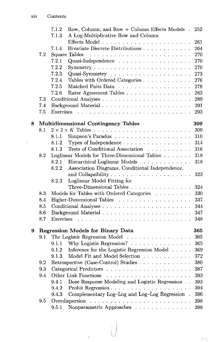$\overline{\phantom{a}}$ 

|   |         | 7.1.2<br>Row, Column, and Row + Column Effects Models.<br>7.1.3<br>A Log-Multiplicative Row and Column                 | 252 |
|---|---------|------------------------------------------------------------------------------------------------------------------------|-----|
|   |         |                                                                                                                        | 261 |
|   |         | 7.1.4<br>Bivariate Discrete Distributions                                                                              | 264 |
|   | 7.2     |                                                                                                                        | 270 |
|   |         | 7.2.1                                                                                                                  | 270 |
|   |         | 7.2.2<br>$Symmetry \ldots \ldots \ldots \ldots \ldots \ldots \ldots$                                                   | 270 |
|   |         | 7.2.3                                                                                                                  | 273 |
|   |         | 7.2.4<br>Tables with Ordered Categories                                                                                | 276 |
|   |         | 7.2.5<br>Matched Pairs Data                                                                                            | 278 |
|   |         | 7.2.6<br>Rater Agreement Tables                                                                                        | 283 |
|   | 7.3     |                                                                                                                        | 289 |
|   | 7.4     |                                                                                                                        | 291 |
|   | 7.5     |                                                                                                                        | 293 |
|   |         |                                                                                                                        |     |
| 8 |         | <b>Multidimensional Contingency Tables</b>                                                                             | 309 |
|   | 8.1     |                                                                                                                        | 309 |
|   |         | 8.1.1                                                                                                                  | 310 |
|   |         | 8.1.2<br>Types of Independence                                                                                         | 314 |
|   |         | 8.1.3<br>Tests of Conditional Association                                                                              | 316 |
|   | 8.2     | Loglinear Models for Three-Dimensional Tables                                                                          | 318 |
|   |         | 8.2.1<br>Hierarchical Loglinear Models                                                                                 | 318 |
|   |         | Association Diagrams, Conditional Independence,<br>8.2.2                                                               |     |
|   |         |                                                                                                                        | 323 |
|   |         | Loglinear Model Fitting for<br>8.2.3                                                                                   |     |
|   |         | Three-Dimensional Tables                                                                                               | 324 |
|   | 8.3     | Models for Tables with Ordered Categories                                                                              | 330 |
|   | 8.4     | Higher-Dimensional Tables                                                                                              | 337 |
|   | 8.5     |                                                                                                                        | 344 |
|   | 8.6     |                                                                                                                        | 347 |
|   | 8.7     |                                                                                                                        | 348 |
|   |         |                                                                                                                        |     |
| 9 |         | <b>Regression Models for Binary Data</b>                                                                               | 365 |
|   | 9.1     | The Logistic Regression Model                                                                                          | 365 |
|   |         | Why Logistic Regression?<br>9.1.1                                                                                      | 365 |
|   |         | Inference for the Logistic Regression Model<br>9.1.2                                                                   | 369 |
|   |         | Model Fit and Model Selection<br>9.1.3                                                                                 | 372 |
|   | 9.2     | Retrospective (Case-Control) Studies                                                                                   | 380 |
|   | $9.3\,$ | Categorical Predictors                                                                                                 | 387 |
|   | 9.4     | <b>Other Link Functions</b><br>.                                                                                       | 393 |
|   |         | Dose Response Modeling and Logistic Regression . $\,$<br>9.4.1                                                         | 393 |
|   |         | 9.4.2                                                                                                                  | 394 |
|   |         | Complementary Log-Log and Log-Log Regression<br>9.4.3                                                                  | 396 |
|   | 9.5     | Overdispersion<br>والمتام المتالم والمتالم والمتالم والمتالة والمتوارث والمراوية والمتالم والمراوية والمتالم والمتالية | 398 |
|   |         | Nonparametric Approaches<br>9.5.1                                                                                      | 398 |

 $\ddot{\phantom{0}}$  $\frac{1}{2}$ 

 $\overline{\mathcal{P}}^{\alpha}$